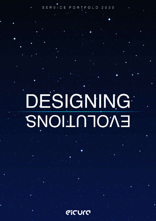#### SERVICE PORTFOLO 2020

# DESIGNING SNOILNTONE

**Gicura**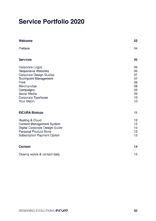#### **Service Portfolio 2020**

| Welcome                                                                                                                                                                                                    | 03                                                       |
|------------------------------------------------------------------------------------------------------------------------------------------------------------------------------------------------------------|----------------------------------------------------------|
| Preface                                                                                                                                                                                                    | 04                                                       |
| <b>Services</b>                                                                                                                                                                                            | 05                                                       |
| Corporate Logos<br><b>Responsive Websites</b><br>Corporate Design Guides<br><b>Touchpoint Management</b><br>Print<br>Merchandise<br>Campaigns<br>Social Media<br>Corporate Typefaces<br><b>Your Vision</b> | 06<br>06<br>07<br>07<br>08<br>08<br>09<br>09<br>10<br>10 |
| <b>EiCURA Biotope</b>                                                                                                                                                                                      | 11                                                       |
| Hosting & Cloud<br>Content Management System<br>Digital Corporate Design Guide<br><b>Personal Product Store</b><br>Subscription Payment Option                                                             | 12<br>12<br>12<br>12<br>13                               |
| Contact                                                                                                                                                                                                    | 14                                                       |
| Closing words & contact data                                                                                                                                                                               | 15                                                       |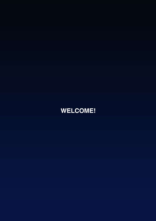## **WELCOME!**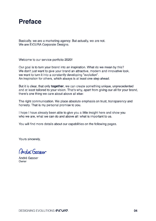#### **Preface**

Basically, we are a marketing agency. But actually, we are not. We are EiCURA Corporate Designs.

Welcome to our service portfolio 2020!

Our goal is to turn your brand into an inspiration. What do we mean by this? We don't just want to give your brand an attractive, modern and innovative look, we want to turn it into a constantly developing "evolution". An inspiration for others, which always is at least one step ahead.

But it is clear, that only **together**, we can create something unique, unprecedented and at least tailored to your vision. That's why, apart from giving our all for your brand, there's one thing we care about above all else:

The right communication. We place absolute emphasis on trust, transparency and honesty. That is my personal promise to you.

I hope I have already been able to give you a little insight here and show you who we are, what we can do and above all: what is important to us.

You will find more details about our capabilities on the following pages.

Yours sincerely,

andré Gasser

André Gasser Owner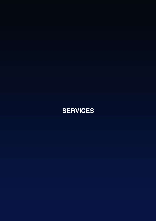## **SERVICES**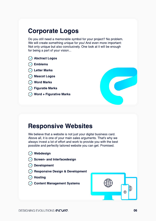#### **Corporate Logos**

Do you still need a memorable symbol for your project? No problem. We will create something unique for you! And even more important: Not only unique but also conclusively. One look at it will be enough for being a part of your vision...

- Abctract Logos
- $\odot$  Emblems
- ◯ Letter Marks
- ◯ Mascot Logos
- ◯ Word Marks
- $\odot$  Figuratie Marks
- $\odot$  Word + Figurative Marks



#### **Responsive Websites**

We believe that a website is not just your digital business card. Above all, it is one of your main sales arguments. That's why we always invest a lot of effort and work to provide you with the best possible and perfectly tailored website you can get. Promised.

- $\odot$  Webdesign
- $\odot$  Screen- and Interfacedesign
- Development
- **Responsive Design & Development**
- Hosting
- **Content Management Systems**

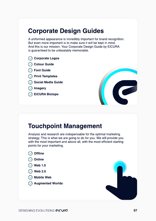#### **Corporate Design Guides**

A uniformed appearance is incredibly important for brand recognition. But even more important is to make sure it will be kept in mind. And this is our mission. Your Corporate Design Guide by EICURA is guaranteed to be unbeatably memorable.

- **CorporateLogos**
- **Colour Guide**
- **FontGuide**
- **Print Templates**
- **Social Media Guide**
- **Imagery**
- **EiCURABiotope**



#### **Touchpoint Management**

Analysis and research are indispensable for the optimal marketing strategy. This is what we are going to do for you. We will provide you with the most important and above all, with the most efficient starting points for your marketing.

**Offline Online Web1.0 Web2.0 Mobile Web Augmented Worlds** 

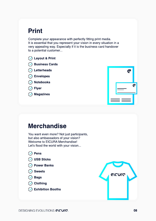#### **Print**

Complete your appearance with perfectly fitting print media. It is essential that you represent your vision in every situation in a very appealing way. Especially if it is the business card handover to a potential customer...

- **Layout&Print BusinessCards Letterheads Envelopes**
- **Notebooks**
- **Flyer**
- **Magazines**



#### **Merchandise**

You want even more? Not just participants, but also ambassadors of your vision? Welcome to EICURA Merchandise! Let's flood the world with your vision...

- **Pens D** USB Sticks
- **Power Banks**
- 
- **Sweets**
- **Bags**
- **Clothing**
- **Bullet** Exhibition Booths

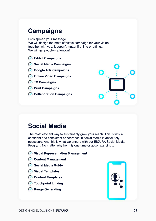#### **Campaigns**

Let's spread your message. We will design the most effective campaign for your vision, together with you. It doesn't matter if online or offline... We will get people's attention!

- **E-MailCampaigns**
- **SocialMediaCampaigns**
- **GoogleAdsCampaigns**
- **Online Video Campaigns**
- **TV Campaigns**
- **Print Campaigns**
- **Collaboration Campaigns**



#### **Social Media**

The most efficient way to sustainably grow your reach. This is why a confident and consistent appearance in social media is absolutely necessary. And this is what we ensure with our EICURA Social Media Program. No matter whether it is one-time or accompanying...

- **Visual Representation Management**
- **Content Management**
- **Social Media Guide**
- **VisualTemplates**
- Content Templates
- **Touchpoint Linking**
- **Range Generating**

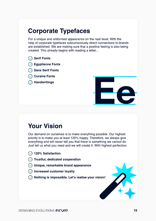#### **Corporate Typefaces**

For a unique and uniformed appearance on the next level. With the help of corporate typefaces subconsciously direct connections to brands are established. We are making sure that a positive feeling is also being created. This already begins with reading a letter...



- ◯ Egyptienne Fonts
- ◯ Sans Serif Fonts
- $\odot$  Cursive Fonts
- $\odot$  Handwritings



#### **Your Vision**

Our demand on ourselves is to make everything possible. Our highest priority is to make you at least 120% happy. Therefore, we always give everything and will never tell you that there is something we cannot do. Just tell us what you need and we will create it. With highest perfection.

- ◯ 120% Satisfaction
- $\odot$  Trustful, dedicated cooperation
- $\odot$  Unique, remarkable brand appearance
- Increased customer loyalty
- $\lambda$  Nothing is impossible. Let's realise your vision!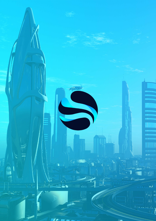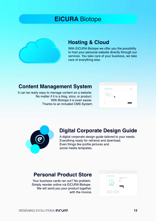#### **EiCURA** Biotope

#### **Hosting&Cloud**

With EiCURA Biotope we offer you the possibility to host your personal website directly through our services. You take care of your business, we take care of everything else.

#### **Content Management System**

It can be really easy to manage content on a website. No matter if it is a blog, story, or product. With Biotope it is even easier. Thanks to an included CMS System

| and the continues of the continues of the continues of the continues of the continues of the continues of the<br><u> 2000 - 2000 - 2000 - 2000 - 2000 - 2000 - 2000 - 2000 - 2000 - 2000 - 2000 - 2000 - 2000 - 2000 - 2000 - 200</u><br>-<br><b>Service Controllers</b>                                                                                                                                                                                                                                    | $\frac{1}{2}$<br>$\frac{1}{2}$ |
|-------------------------------------------------------------------------------------------------------------------------------------------------------------------------------------------------------------------------------------------------------------------------------------------------------------------------------------------------------------------------------------------------------------------------------------------------------------------------------------------------------------|--------------------------------|
| <b>CALLERY</b><br>$\frac{1}{2} \left( \frac{1}{2} \right) \left( \frac{1}{2} \right) \left( \frac{1}{2} \right) \left( \frac{1}{2} \right) \left( \frac{1}{2} \right) \left( \frac{1}{2} \right) \left( \frac{1}{2} \right) \left( \frac{1}{2} \right) \left( \frac{1}{2} \right) \left( \frac{1}{2} \right) \left( \frac{1}{2} \right) \left( \frac{1}{2} \right) \left( \frac{1}{2} \right) \left( \frac{1}{2} \right) \left( \frac{1}{2} \right) \left( \frac{1}{2} \right) \left( \frac$<br>٠<br>÷<br>w |                                |
| ____<br>v<br>$\sim$<br>w                                                                                                                                                                                                                                                                                                                                                                                                                                                                                    |                                |
| -                                                                                                                                                                                                                                                                                                                                                                                                                                                                                                           |                                |



#### **Digital Corporate Design Guide**

A digital corporate design guide tailored to your needs. Everything ready for retrieval and download. Even things like profile pictures and social media templates.

#### **Personal Product Store**

Your business cards ran out? No problem. Simply reorder online via EiCURA Biotope. We will send you your product together with the invoice.

| $-$<br>ł<br>٠ |    |
|---------------|----|
| $\sim$<br>.,  | n. |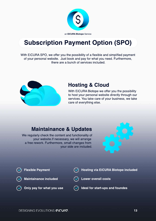

### **Subscription Payment Option (SPO)**

With EiCURA SPO, we offer you the possibility of a flexible and simplified payment of your personal website. Just book and pay for what you need. Furthermore, there are a bunch of services included.



#### **Hosting&Cloud**

With EiCURA Biotope we offer you the possibility to host your personal website directly through our services. You take care of your business, we take care of everything else.

#### **Maintainance&Updates**

We regularly check the content and functionality of your website.If necessary, we will arrange a free rework. Furthermore, small changes from your side are included.









- **Maintainance included**
- **Lower overall costs**
- **Only pay for what you use**
- **Ideal for start-ups and foundes**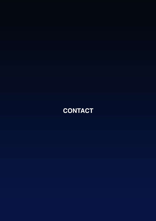## CONTACT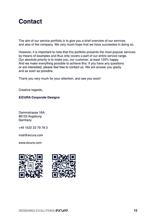#### **Contact**

The aim of our service portfolio is to give you a brief overview of our services and also of the company. We very much hope that we have succeeded in doing so.

However, it is important to note that this portfolio presents the most popular services by means of examples and thus only covers a part of our entire service range. Our absolute priority is to make you, our customer, at least 120% happy. And we make everything possible to achieve this. If you have any questions or are interested, please feel free to contact us. We will answer you gladly and as soon as possible.

Thank you very much for your attention, and see you soon!

Creative regards,

#### **EiCURA Corporate Designs**

Dammstrasse 16A 86152Augsburg **Germany** 

+4915222379783

mail@eicura.com

www.eicura.com